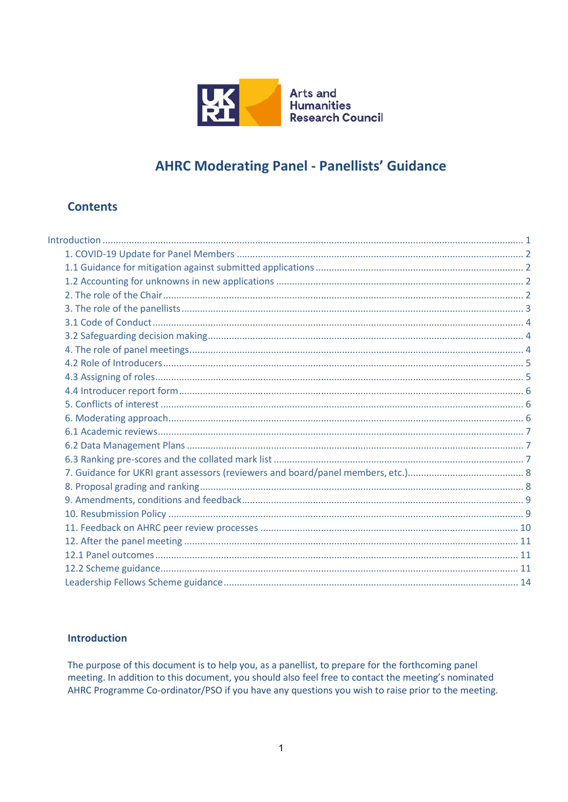

**Arts and Humanities Research Council** 

# **AHRC Moderating Panel - Panellists' Guidance**

## **Contents**

## <span id="page-0-0"></span>**Introduction**

The purpose of this document is to help you, as a panellist, to prepare for the forthcoming panel meeting. In addition to this document, you should also feel free to contact the meeting's nominated AHRC Programme Co-ordinator/PSO if you have any questions you wish to raise prior to the meeting.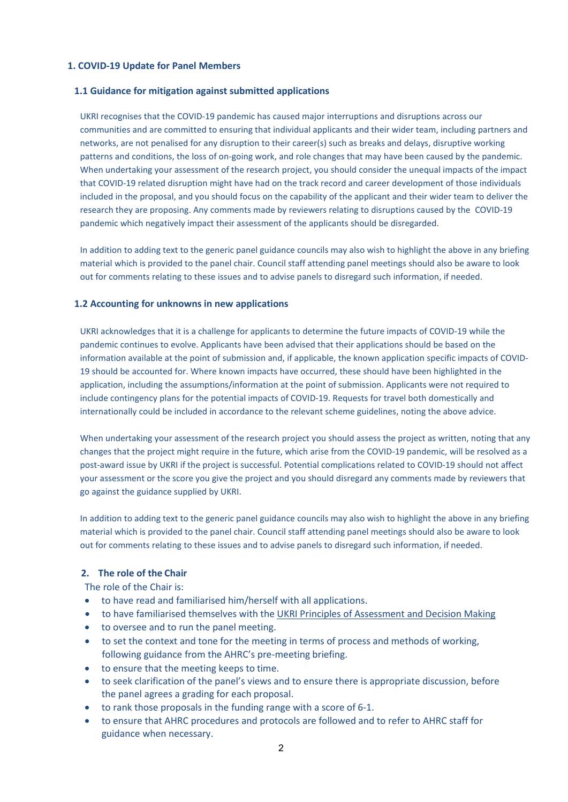#### <span id="page-1-0"></span>**1. COVID-19 Update for Panel Members**

#### <span id="page-1-1"></span>**1.1 Guidance for mitigation against submitted applications**

UKRI recognises that the COVID-19 pandemic has caused major interruptions and disruptions across our communities and are committed to ensuring that individual applicants and their wider team, including partners and networks, are not penalised for any disruption to their career(s) such as breaks and delays, disruptive working patterns and conditions, the loss of on-going work, and role changes that may have been caused by the pandemic. When undertaking your assessment of the research project, you should consider the unequal impacts of the impact that COVID-19 related disruption might have had on the track record and career development of those individuals included in the proposal, and you should focus on the capability of the applicant and their wider team to deliver the research they are proposing. Any comments made by reviewers relating to disruptions caused by the COVID-19 pandemic which negatively impact their assessment of the applicants should be disregarded.

In addition to adding text to the generic panel guidance councils may also wish to highlight the above in any briefing material which is provided to the panel chair. Council staff attending panel meetings should also be aware to look out for comments relating to these issues and to advise panels to disregard such information, if needed.

#### <span id="page-1-2"></span>**1.2 Accounting for unknowns in new applications**

UKRI acknowledges that it is a challenge for applicants to determine the future impacts of COVID-19 while the pandemic continues to evolve. Applicants have been advised that their applications should be based on the information available at the point of submission and, if applicable, the known application specific impacts of COVID-19 should be accounted for. Where known impacts have occurred, these should have been highlighted in the application, including the assumptions/information at the point of submission. Applicants were not required to include contingency plans for the potential impacts of COVID-19. Requests for travel both domestically and internationally could be included in accordance to the relevant scheme guidelines, noting the above advice.

When undertaking your assessment of the research project you should assess the project as written, noting that any changes that the project might require in the future, which arise from the COVID-19 pandemic, will be resolved as a post-award issue by UKRI if the project is successful. Potential complications related to COVID-19 should not affect your assessment or the score you give the project and you should disregard any comments made by reviewers that go against the guidance supplied by UKRI.

In addition to adding text to the generic panel guidance councils may also wish to highlight the above in any briefing material which is provided to the panel chair. Council staff attending panel meetings should also be aware to look out for comments relating to these issues and to advise panels to disregard such information, if needed.

#### <span id="page-1-3"></span>**2. The role of the Chair**

The role of the Chair is:

- to have read and familiarised him/herself with all applications.
- to have familiarised themselves with th[e UKRI Principles of Assessment and Decision Making](https://www.ukri.org/wp-content/uploads/2020/10/UKRI-07102020-PrinciplesofAssessmentandDecisionMaking.pdf)
- to oversee and to run the panel meeting.
- to set the context and tone for the meeting in terms of process and methods of working, following guidance from the AHRC's pre-meeting briefing.
- to ensure that the meeting keeps to time.
- to seek clarification of the panel's views and to ensure there is appropriate discussion, before the panel agrees a grading for each proposal.
- to rank those proposals in the funding range with a score of 6-1.
- to ensure that AHRC procedures and protocols are followed and to refer to AHRC staff for guidance when necessary.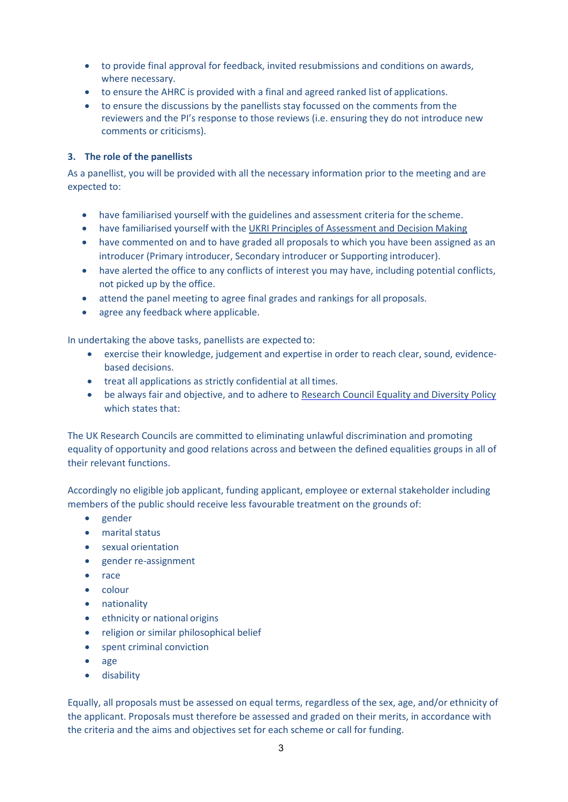- to provide final approval for feedback, invited resubmissions and conditions on awards, where necessary.
- to ensure the AHRC is provided with a final and agreed ranked list of applications.
- to ensure the discussions by the panellists stay focussed on the comments from the reviewers and the PI's response to those reviews (i.e. ensuring they do not introduce new comments or criticisms).

## <span id="page-2-0"></span>**3. The role of the panellists**

As a panellist, you will be provided with all the necessary information prior to the meeting and are expected to:

- have familiarised yourself with the guidelines and assessment criteria for the scheme.
- have familiarised yourself with the [UKRI Principles of Assessment and Decision Making](https://www.ukri.org/wp-content/uploads/2020/10/UKRI-07102020-PrinciplesofAssessmentandDecisionMaking.pdf)
- have commented on and to have graded all proposals to which you have been assigned as an introducer (Primary introducer, Secondary introducer or Supporting introducer).
- have alerted the office to any conflicts of interest you may have, including potential conflicts, not picked up by the office.
- attend the panel meeting to agree final grades and rankings for all proposals.
- agree any feedback where applicable.

In undertaking the above tasks, panellists are expected to:

- exercise their knowledge, judgement and expertise in order to reach clear, sound, evidencebased decisions.
- treat all applications as strictly confidential at all times.
- be always fair and objective, and to adhere to [Research Council Equality and Diversity Policy](http://www.ahrc.ac.uk/peerreview/resources/reviewprocess/reviewerguidance/equality-diversity/) which states that:

The UK Research Councils are committed to eliminating unlawful discrimination and promoting equality of opportunity and good relations across and between the defined equalities groups in all of their relevant functions.

Accordingly no eligible job applicant, funding applicant, employee or external stakeholder including members of the public should receive less favourable treatment on the grounds of:

- gender
- marital status
- sexual orientation
- gender re-assignment
- race
- colour
- nationality
- ethnicity or national origins
- religion or similar philosophical belief
- spent criminal conviction
- age
- disability

Equally, all proposals must be assessed on equal terms, regardless of the sex, age, and/or ethnicity of the applicant. Proposals must therefore be assessed and graded on their merits, in accordance with the criteria and the aims and objectives set for each scheme or call for funding.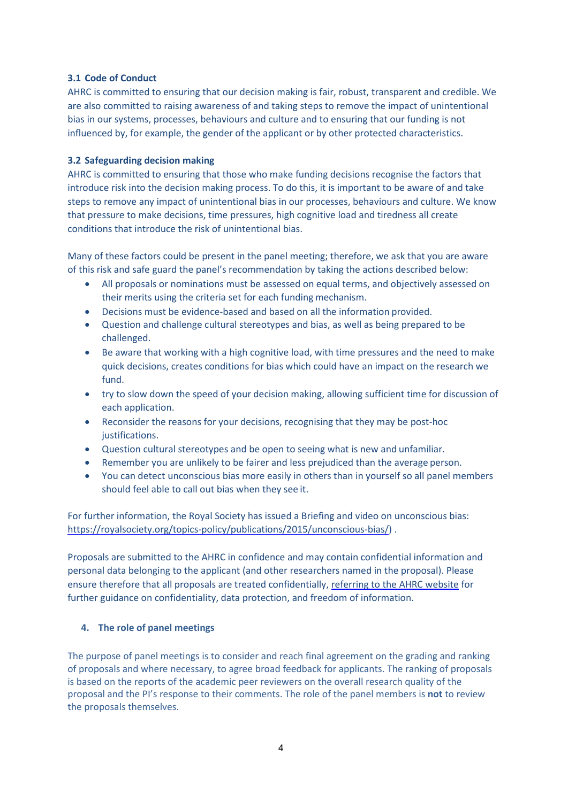#### <span id="page-3-0"></span>**3.1 Code of Conduct**

AHRC is committed to ensuring that our decision making is fair, robust, transparent and credible. We are also committed to raising awareness of and taking steps to remove the impact of unintentional bias in our systems, processes, behaviours and culture and to ensuring that our funding is not influenced by, for example, the gender of the applicant or by other protected characteristics.

#### <span id="page-3-1"></span>**3.2 Safeguarding decision making**

AHRC is committed to ensuring that those who make funding decisions recognise the factors that introduce risk into the decision making process. To do this, it is important to be aware of and take steps to remove any impact of unintentional bias in our processes, behaviours and culture. We know that pressure to make decisions, time pressures, high cognitive load and tiredness all create conditions that introduce the risk of unintentional bias.

Many of these factors could be present in the panel meeting; therefore, we ask that you are aware of this risk and safe guard the panel's recommendation by taking the actions described below:

- All proposals or nominations must be assessed on equal terms, and objectively assessed on their merits using the criteria set for each funding mechanism.
- Decisions must be evidence-based and based on all the information provided.
- Question and challenge cultural stereotypes and bias, as well as being prepared to be challenged.
- Be aware that working with a high cognitive load, with time pressures and the need to make quick decisions, creates conditions for bias which could have an impact on the research we fund.
- try to slow down the speed of your decision making, allowing sufficient time for discussion of each application.
- Reconsider the reasons for your decisions, recognising that they may be post-hoc justifications.
- Question cultural stereotypes and be open to seeing what is new and unfamiliar.
- Remember you are unlikely to be fairer and less prejudiced than the average person.
- You can detect unconscious bias more easily in others than in yourself so all panel members should feel able to call out bias when they see it.

For further information, the Royal Society has issued a Briefing and video on unconscious bias: [https://royalsociety.org/topics-policy/publications/2015/unconscious-bias/\)](https://royalsociety.org/topics-policy/publications/2015/unconscious-bias/).

Proposals are submitted to the AHRC in confidence and may contain confidential information and personal data belonging to the applicant (and other researchers named in the proposal). Please ensure therefore that all proposals are treated confidentially[, referring to the AHRC website](http://www.ahrc.ac.uk/about/policies/) for further guidance on confidentiality, data protection, and freedom of information.

## <span id="page-3-2"></span>**4. The role of panel meetings**

The purpose of panel meetings is to consider and reach final agreement on the grading and ranking of proposals and where necessary, to agree broad feedback for applicants. The ranking of proposals is based on the reports of the academic peer reviewers on the overall research quality of the proposal and the PI's response to their comments. The role of the panel members is **not** to review the proposals themselves.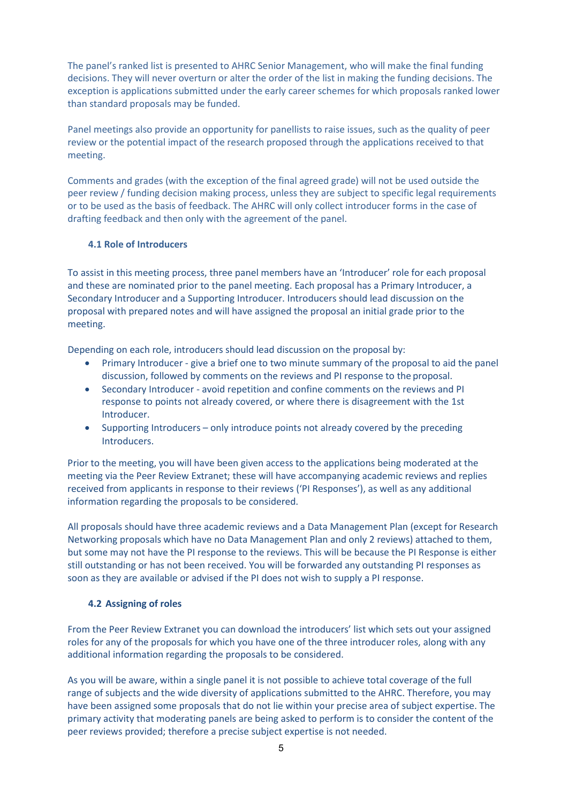The panel's ranked list is presented to AHRC Senior Management, who will make the final funding decisions. They will never overturn or alter the order of the list in making the funding decisions. The exception is applications submitted under the early career schemes for which proposals ranked lower than standard proposals may be funded.

Panel meetings also provide an opportunity for panellists to raise issues, such as the quality of peer review or the potential impact of the research proposed through the applications received to that meeting.

Comments and grades (with the exception of the final agreed grade) will not be used outside the peer review / funding decision making process, unless they are subject to specific legal requirements or to be used as the basis of feedback. The AHRC will only collect introducer forms in the case of drafting feedback and then only with the agreement of the panel.

#### <span id="page-4-0"></span>**4.1 Role of Introducers**

To assist in this meeting process, three panel members have an 'Introducer' role for each proposal and these are nominated prior to the panel meeting. Each proposal has a Primary Introducer, a Secondary Introducer and a Supporting Introducer. Introducers should lead discussion on the proposal with prepared notes and will have assigned the proposal an initial grade prior to the meeting.

Depending on each role, introducers should lead discussion on the proposal by:

- Primary Introducer give a brief one to two minute summary of the proposal to aid the panel discussion, followed by comments on the reviews and PI response to the proposal.
- Secondary Introducer avoid repetition and confine comments on the reviews and PI response to points not already covered, or where there is disagreement with the 1st Introducer.
- Supporting Introducers only introduce points not already covered by the preceding Introducers.

Prior to the meeting, you will have been given access to the applications being moderated at the meeting via the Peer Review Extranet; these will have accompanying academic reviews and replies received from applicants in response to their reviews ('PI Responses'), as well as any additional information regarding the proposals to be considered.

All proposals should have three academic reviews and a Data Management Plan (except for Research Networking proposals which have no Data Management Plan and only 2 reviews) attached to them, but some may not have the PI response to the reviews. This will be because the PI Response is either still outstanding or has not been received. You will be forwarded any outstanding PI responses as soon as they are available or advised if the PI does not wish to supply a PI response.

#### **4.2 Assigning of roles**

<span id="page-4-1"></span>From the Peer Review Extranet you can download the introducers' list which sets out your assigned roles for any of the proposals for which you have one of the three introducer roles, along with any additional information regarding the proposals to be considered.

As you will be aware, within a single panel it is not possible to achieve total coverage of the full range of subjects and the wide diversity of applications submitted to the AHRC. Therefore, you may have been assigned some proposals that do not lie within your precise area of subject expertise. The primary activity that moderating panels are being asked to perform is to consider the content of the peer reviews provided; therefore a precise subject expertise is not needed.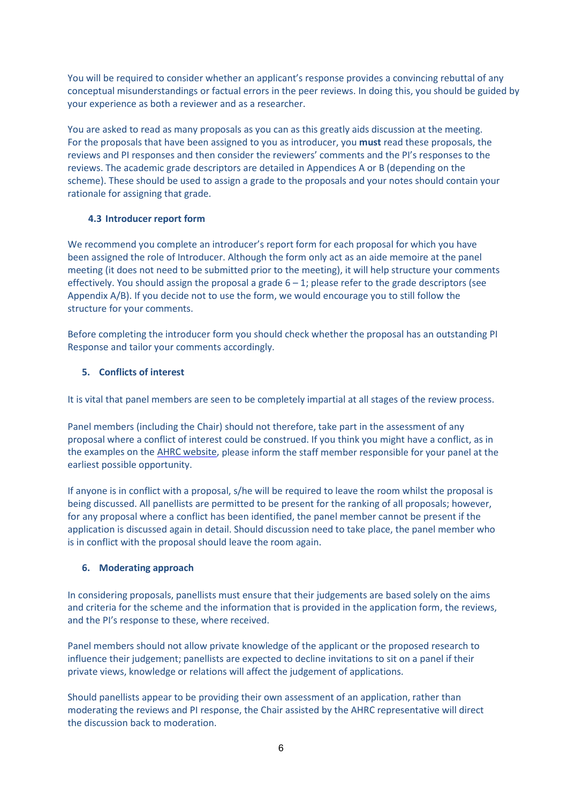You will be required to consider whether an applicant's response provides a convincing rebuttal of any conceptual misunderstandings or factual errors in the peer reviews. In doing this, you should be guided by your experience as both a reviewer and as a researcher.

You are asked to read as many proposals as you can as this greatly aids discussion at the meeting. For the proposals that have been assigned to you as introducer, you **must** read these proposals, the reviews and PI responses and then consider the reviewers' comments and the PI's responses to the reviews. The academic grade descriptors are detailed in Appendices A or B (depending on the scheme). These should be used to assign a grade to the proposals and your notes should contain your rationale for assigning that grade.

## **4.3 Introducer report form**

<span id="page-5-0"></span>We recommend you complete an introducer's report form for each proposal for which you have been assigned the role of Introducer. Although the form only act as an aide memoire at the panel meeting (it does not need to be submitted prior to the meeting), it will help structure your comments effectively. You should assign the proposal a grade  $6 - 1$ ; please refer to the grade descriptors (see Appendix A/B). If you decide not to use the form, we would encourage you to still follow the structure for your comments.

Before completing the introducer form you should check whether the proposal has an outstanding PI Response and tailor your comments accordingly.

## **5. Conflicts of interest**

<span id="page-5-1"></span>It is vital that panel members are seen to be completely impartial at all stages of the review process.

Panel members (including the Chair) should not therefore, take part in the assessment of any proposal where a conflict of interest could be construed. If you think you might have a conflict, as in the examples on th[e AHRC website, p](http://www.ahrc.ac.uk/peerreview/resources/reviewprocess/reviewerguidance/conflictsofinterest/)lease inform the staff member responsible for your panel at the earliest possible opportunity.

If anyone is in conflict with a proposal, s/he will be required to leave the room whilst the proposal is being discussed. All panellists are permitted to be present for the ranking of all proposals; however, for any proposal where a conflict has been identified, the panel member cannot be present if the application is discussed again in detail. Should discussion need to take place, the panel member who is in conflict with the proposal should leave the room again.

## **6. Moderating approach**

<span id="page-5-2"></span>In considering proposals, panellists must ensure that their judgements are based solely on the aims and criteria for the scheme and the information that is provided in the application form, the reviews, and the PI's response to these, where received.

Panel members should not allow private knowledge of the applicant or the proposed research to influence their judgement; panellists are expected to decline invitations to sit on a panel if their private views, knowledge or relations will affect the judgement of applications.

Should panellists appear to be providing their own assessment of an application, rather than moderating the reviews and PI response, the Chair assisted by the AHRC representative will direct the discussion back to moderation.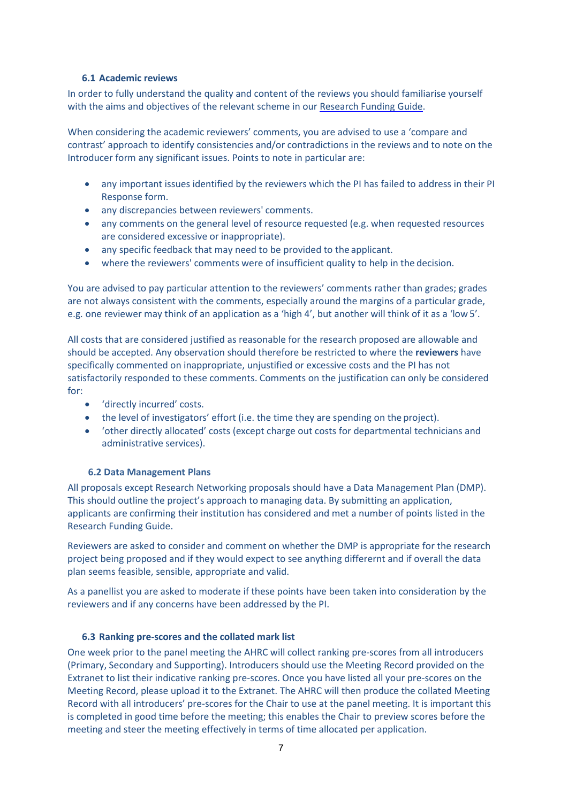#### <span id="page-6-0"></span>**6.1 Academic reviews**

In order to fully understand the quality and content of the reviews you should familiarise yourself with the aims and objectives of the relevant scheme in our [Research Funding Guide.](http://www.ahrc.ac.uk/funding/research/researchfundingguide/)

When considering the academic reviewers' comments, you are advised to use a 'compare and contrast' approach to identify consistencies and/or contradictions in the reviews and to note on the Introducer form any significant issues. Points to note in particular are:

- any important issues identified by the reviewers which the PI has failed to address in their PI Response form.
- any discrepancies between reviewers' comments.
- any comments on the general level of resource requested (e.g. when requested resources are considered excessive or inappropriate).
- any specific feedback that may need to be provided to the applicant.
- where the reviewers' comments were of insufficient quality to help in the decision.

You are advised to pay particular attention to the reviewers' comments rather than grades; grades are not always consistent with the comments, especially around the margins of a particular grade, e.g. one reviewer may think of an application as a 'high 4', but another will think of it as a 'low5'.

All costs that are considered justified as reasonable for the research proposed are allowable and should be accepted. Any observation should therefore be restricted to where the **reviewers** have specifically commented on inappropriate, unjustified or excessive costs and the PI has not satisfactorily responded to these comments. Comments on the justification can only be considered for:

- 'directly incurred' costs.
- the level of investigators' effort (i.e. the time they are spending on the project).
- 'other directly allocated' costs (except charge out costs for departmental technicians and administrative services).

#### **6.2 Data Management Plans**

<span id="page-6-1"></span>All proposals except Research Networking proposals should have a Data Management Plan (DMP). This should outline the project's approach to managing data. By submitting an application, applicants are confirming their institution has considered and met a number of points listed in the Research Funding Guide.

Reviewers are asked to consider and comment on whether the DMP is appropriate for the research project being proposed and if they would expect to see anything differernt and if overall the data plan seems feasible, sensible, appropriate and valid.

As a panellist you are asked to moderate if these points have been taken into consideration by the reviewers and if any concerns have been addressed by the PI.

#### **6.3 Ranking pre-scores and the collated mark list**

<span id="page-6-2"></span>One week prior to the panel meeting the AHRC will collect ranking pre-scores from all introducers (Primary, Secondary and Supporting). Introducers should use the Meeting Record provided on the Extranet to list their indicative ranking pre-scores. Once you have listed all your pre-scores on the Meeting Record, please upload it to the Extranet. The AHRC will then produce the collated Meeting Record with all introducers' pre-scores for the Chair to use at the panel meeting. It is important this is completed in good time before the meeting; this enables the Chair to preview scores before the meeting and steer the meeting effectively in terms of time allocated per application.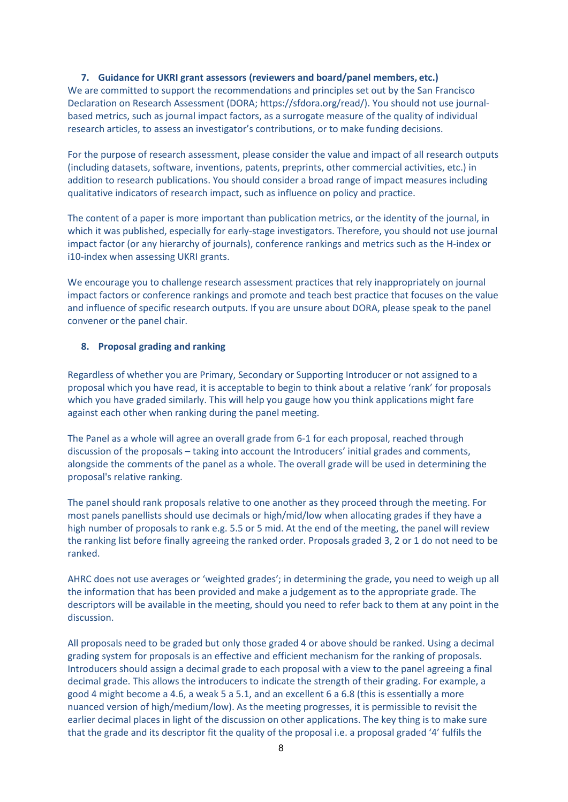#### <span id="page-7-0"></span>**7. Guidance for UKRI grant assessors (reviewers and board/panel members, etc.)**

We are committed to support the recommendations and principles set out by the San Francisco Declaration on Research Assessment (DORA; https://sfdora.org/read/). You should not use journalbased metrics, such as journal impact factors, as a surrogate measure of the quality of individual research articles, to assess an investigator's contributions, or to make funding decisions.

For the purpose of research assessment, please consider the value and impact of all research outputs (including datasets, software, inventions, patents, preprints, other commercial activities, etc.) in addition to research publications. You should consider a broad range of impact measures including qualitative indicators of research impact, such as influence on policy and practice.

The content of a paper is more important than publication metrics, or the identity of the journal, in which it was published, especially for early-stage investigators. Therefore, you should not use journal impact factor (or any hierarchy of journals), conference rankings and metrics such as the H-index or i10-index when assessing UKRI grants.

We encourage you to challenge research assessment practices that rely inappropriately on journal impact factors or conference rankings and promote and teach best practice that focuses on the value and influence of specific research outputs. If you are unsure about DORA, please speak to the panel convener or the panel chair.

#### <span id="page-7-1"></span>**8. Proposal grading and ranking**

Regardless of whether you are Primary, Secondary or Supporting Introducer or not assigned to a proposal which you have read, it is acceptable to begin to think about a relative 'rank' for proposals which you have graded similarly. This will help you gauge how you think applications might fare against each other when ranking during the panel meeting.

The Panel as a whole will agree an overall grade from 6-1 for each proposal, reached through discussion of the proposals – taking into account the Introducers' initial grades and comments, alongside the comments of the panel as a whole. The overall grade will be used in determining the proposal's relative ranking.

The panel should rank proposals relative to one another as they proceed through the meeting. For most panels panellists should use decimals or high/mid/low when allocating grades if they have a high number of proposals to rank e.g. 5.5 or 5 mid. At the end of the meeting, the panel will review the ranking list before finally agreeing the ranked order. Proposals graded 3, 2 or 1 do not need to be ranked.

AHRC does not use averages or 'weighted grades'; in determining the grade, you need to weigh up all the information that has been provided and make a judgement as to the appropriate grade. The descriptors will be available in the meeting, should you need to refer back to them at any point in the discussion.

All proposals need to be graded but only those graded 4 or above should be ranked. Using a decimal grading system for proposals is an effective and efficient mechanism for the ranking of proposals. Introducers should assign a decimal grade to each proposal with a view to the panel agreeing a final decimal grade. This allows the introducers to indicate the strength of their grading. For example, a good 4 might become a 4.6, a weak 5 a 5.1, and an excellent 6 a 6.8 (this is essentially a more nuanced version of high/medium/low). As the meeting progresses, it is permissible to revisit the earlier decimal places in light of the discussion on other applications. The key thing is to make sure that the grade and its descriptor fit the quality of the proposal i.e. a proposal graded '4' fulfils the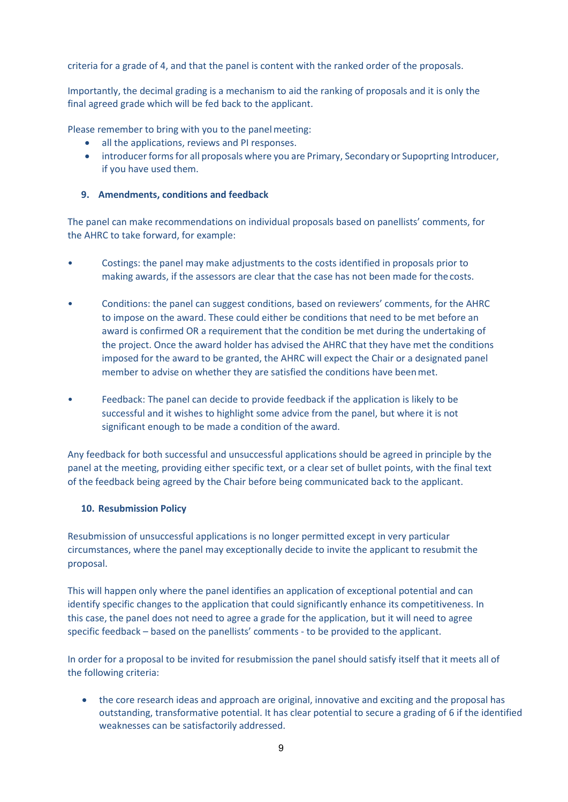criteria for a grade of 4, and that the panel is content with the ranked order of the proposals.

Importantly, the decimal grading is a mechanism to aid the ranking of proposals and it is only the final agreed grade which will be fed back to the applicant.

Please remember to bring with you to the panel meeting:

- all the applications, reviews and PI responses.
- introducer forms for all proposals where you are Primary, Secondary or Supoprting Introducer, if you have used them.

#### <span id="page-8-0"></span>**9. Amendments, conditions and feedback**

The panel can make recommendations on individual proposals based on panellists' comments, for the AHRC to take forward, for example:

- Costings: the panel may make adjustments to the costs identified in proposals prior to making awards, if the assessors are clear that the case has not been made for thecosts.
- Conditions: the panel can suggest conditions, based on reviewers' comments, for the AHRC to impose on the award. These could either be conditions that need to be met before an award is confirmed OR a requirement that the condition be met during the undertaking of the project. Once the award holder has advised the AHRC that they have met the conditions imposed for the award to be granted, the AHRC will expect the Chair or a designated panel member to advise on whether they are satisfied the conditions have beenmet.
- Feedback: The panel can decide to provide feedback if the application is likely to be successful and it wishes to highlight some advice from the panel, but where it is not significant enough to be made a condition of the award.

Any feedback for both successful and unsuccessful applications should be agreed in principle by the panel at the meeting, providing either specific text, or a clear set of bullet points, with the final text of the feedback being agreed by the Chair before being communicated back to the applicant.

#### <span id="page-8-1"></span>**10. Resubmission Policy**

Resubmission of unsuccessful applications is no longer permitted except in very particular circumstances, where the panel may exceptionally decide to invite the applicant to resubmit the proposal.

This will happen only where the panel identifies an application of exceptional potential and can identify specific changes to the application that could significantly enhance its competitiveness. In this case, the panel does not need to agree a grade for the application, but it will need to agree specific feedback – based on the panellists' comments - to be provided to the applicant.

In order for a proposal to be invited for resubmission the panel should satisfy itself that it meets all of the following criteria:

• the core research ideas and approach are original, innovative and exciting and the proposal has outstanding, transformative potential. It has clear potential to secure a grading of 6 if the identified weaknesses can be satisfactorily addressed.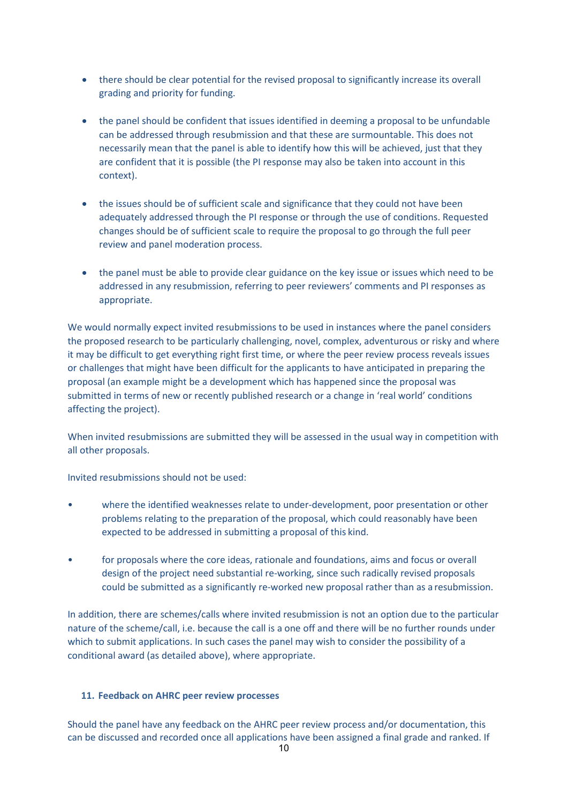- there should be clear potential for the revised proposal to significantly increase its overall grading and priority for funding.
- the panel should be confident that issues identified in deeming a proposal to be unfundable can be addressed through resubmission and that these are surmountable. This does not necessarily mean that the panel is able to identify how this will be achieved, just that they are confident that it is possible (the PI response may also be taken into account in this context).
- the issues should be of sufficient scale and significance that they could not have been adequately addressed through the PI response or through the use of conditions. Requested changes should be of sufficient scale to require the proposal to go through the full peer review and panel moderation process.
- the panel must be able to provide clear guidance on the key issue or issues which need to be addressed in any resubmission, referring to peer reviewers' comments and PI responses as appropriate.

We would normally expect invited resubmissions to be used in instances where the panel considers the proposed research to be particularly challenging, novel, complex, adventurous or risky and where it may be difficult to get everything right first time, or where the peer review process reveals issues or challenges that might have been difficult for the applicants to have anticipated in preparing the proposal (an example might be a development which has happened since the proposal was submitted in terms of new or recently published research or a change in 'real world' conditions affecting the project).

When invited resubmissions are submitted they will be assessed in the usual way in competition with all other proposals.

Invited resubmissions should not be used:

- where the identified weaknesses relate to under-development, poor presentation or other problems relating to the preparation of the proposal, which could reasonably have been expected to be addressed in submitting a proposal of this kind.
- for proposals where the core ideas, rationale and foundations, aims and focus or overall design of the project need substantial re-working, since such radically revised proposals could be submitted as a significantly re-worked new proposal rather than as a resubmission.

In addition, there are schemes/calls where invited resubmission is not an option due to the particular nature of the scheme/call, i.e. because the call is a one off and there will be no further rounds under which to submit applications. In such cases the panel may wish to consider the possibility of a conditional award (as detailed above), where appropriate.

## <span id="page-9-0"></span>**11. Feedback on AHRC peer review processes**

Should the panel have any feedback on the AHRC peer review process and/or documentation, this can be discussed and recorded once all applications have been assigned a final grade and ranked. If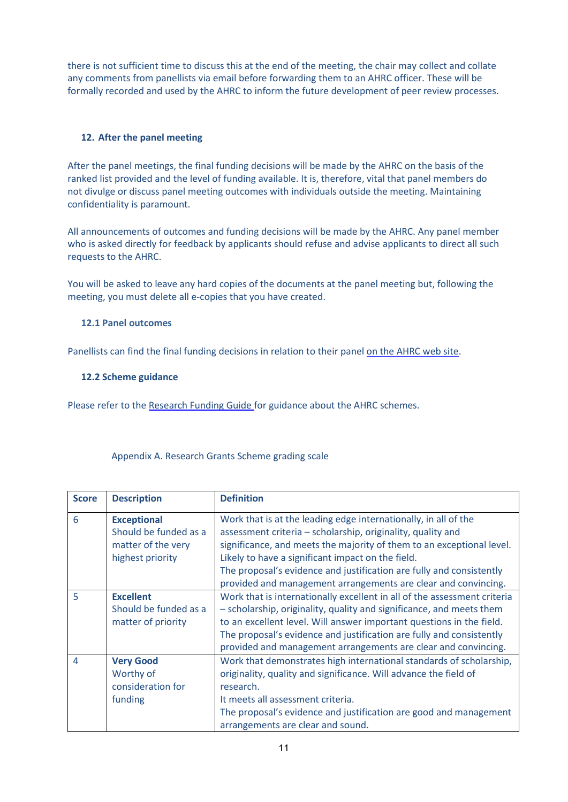there is not sufficient time to discuss this at the end of the meeting, the chair may collect and collate any comments from panellists via email before forwarding them to an AHRC officer. These will be formally recorded and used by the AHRC to inform the future development of peer review processes.

## <span id="page-10-0"></span>**12. After the panel meeting**

After the panel meetings, the final funding decisions will be made by the AHRC on the basis of the ranked list provided and the level of funding available. It is, therefore, vital that panel members do not divulge or discuss panel meeting outcomes with individuals outside the meeting. Maintaining confidentiality is paramount.

All announcements of outcomes and funding decisions will be made by the AHRC. Any panel member who is asked directly for feedback by applicants should refuse and advise applicants to direct all such requests to the AHRC.

You will be asked to leave any hard copies of the documents at the panel meeting but, following the meeting, you must delete all e-copies that you have created.

#### <span id="page-10-1"></span>**12.1 Panel outcomes**

<span id="page-10-2"></span>Panellists can find the final funding decisions in relation to their pane[l on the AHRC web site.](http://www.ahrc.ac.uk/funding/research/paneloutcomes/)

#### **12.2 Scheme guidance**

Please refer to the [Research Funding Guide f](http://www.ahrc.ac.uk/documents/guides/research-funding-guide/)or guidance about the AHRC schemes.

| Appendix A. Research Grants Scheme grading scale |  |  |  |
|--------------------------------------------------|--|--|--|
|                                                  |  |  |  |

| <b>Score</b>   | <b>Description</b>                                                                    | <b>Definition</b>                                                                                                                                                                                                                                                                                                                                                                                      |  |
|----------------|---------------------------------------------------------------------------------------|--------------------------------------------------------------------------------------------------------------------------------------------------------------------------------------------------------------------------------------------------------------------------------------------------------------------------------------------------------------------------------------------------------|--|
| 6              | <b>Exceptional</b><br>Should be funded as a<br>matter of the very<br>highest priority | Work that is at the leading edge internationally, in all of the<br>assessment criteria - scholarship, originality, quality and<br>significance, and meets the majority of them to an exceptional level.<br>Likely to have a significant impact on the field.<br>The proposal's evidence and justification are fully and consistently<br>provided and management arrangements are clear and convincing. |  |
| 5              | <b>Excellent</b><br>Should be funded as a<br>matter of priority                       | Work that is internationally excellent in all of the assessment criteria<br>- scholarship, originality, quality and significance, and meets them<br>to an excellent level. Will answer important questions in the field.<br>The proposal's evidence and justification are fully and consistently<br>provided and management arrangements are clear and convincing.                                     |  |
| $\overline{4}$ | <b>Very Good</b><br>Worthy of<br>consideration for<br>funding                         | Work that demonstrates high international standards of scholarship,<br>originality, quality and significance. Will advance the field of<br>research.<br>It meets all assessment criteria.<br>The proposal's evidence and justification are good and management<br>arrangements are clear and sound.                                                                                                    |  |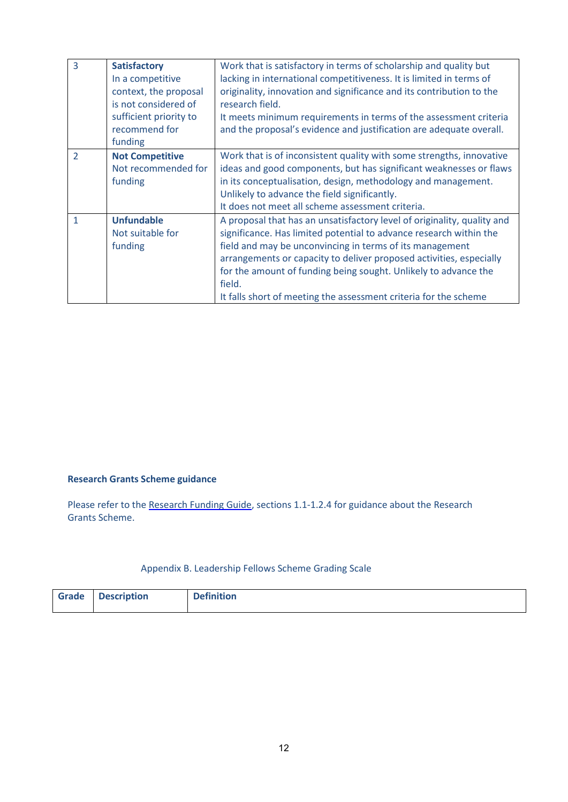| $\overline{3}$ | <b>Satisfactory</b><br>In a competitive<br>context, the proposal<br>is not considered of<br>sufficient priority to<br>recommend for<br>funding | Work that is satisfactory in terms of scholarship and quality but<br>lacking in international competitiveness. It is limited in terms of<br>originality, innovation and significance and its contribution to the<br>research field.<br>It meets minimum requirements in terms of the assessment criteria<br>and the proposal's evidence and justification are adequate overall.                                                   |
|----------------|------------------------------------------------------------------------------------------------------------------------------------------------|-----------------------------------------------------------------------------------------------------------------------------------------------------------------------------------------------------------------------------------------------------------------------------------------------------------------------------------------------------------------------------------------------------------------------------------|
| $\overline{2}$ | <b>Not Competitive</b><br>Not recommended for<br>funding                                                                                       | Work that is of inconsistent quality with some strengths, innovative<br>ideas and good components, but has significant weaknesses or flaws<br>in its conceptualisation, design, methodology and management.<br>Unlikely to advance the field significantly.<br>It does not meet all scheme assessment criteria.                                                                                                                   |
| 1              | <b>Unfundable</b><br>Not suitable for<br>funding                                                                                               | A proposal that has an unsatisfactory level of originality, quality and<br>significance. Has limited potential to advance research within the<br>field and may be unconvincing in terms of its management<br>arrangements or capacity to deliver proposed activities, especially<br>for the amount of funding being sought. Unlikely to advance the<br>field.<br>It falls short of meeting the assessment criteria for the scheme |

## **Research Grants Scheme guidance**

Please refer to the [Research Funding Guide, s](http://www.ahrc.ac.uk/documents/guides/research-funding-guide/)ections 1.1-1.2.4 for guidance about the Research Grants Scheme.

## Appendix B. Leadership Fellows Scheme Grading Scale

| Grade   Description | <b>Definition</b> |
|---------------------|-------------------|
|                     |                   |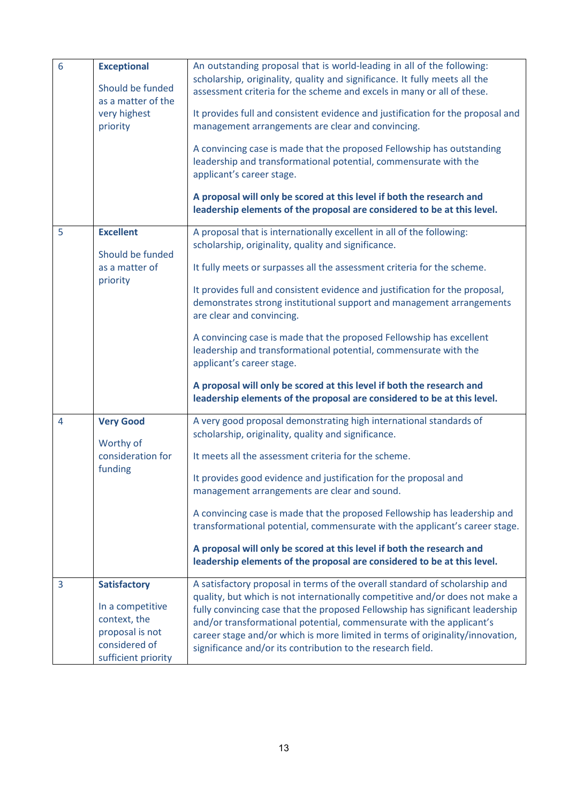| 6 | <b>Exceptional</b><br>Should be funded<br>as a matter of the<br>very highest<br>priority                           | An outstanding proposal that is world-leading in all of the following:<br>scholarship, originality, quality and significance. It fully meets all the<br>assessment criteria for the scheme and excels in many or all of these.<br>It provides full and consistent evidence and justification for the proposal and<br>management arrangements are clear and convincing.<br>A convincing case is made that the proposed Fellowship has outstanding<br>leadership and transformational potential, commensurate with the<br>applicant's career stage.<br>A proposal will only be scored at this level if both the research and<br>leadership elements of the proposal are considered to be at this level.                      |
|---|--------------------------------------------------------------------------------------------------------------------|----------------------------------------------------------------------------------------------------------------------------------------------------------------------------------------------------------------------------------------------------------------------------------------------------------------------------------------------------------------------------------------------------------------------------------------------------------------------------------------------------------------------------------------------------------------------------------------------------------------------------------------------------------------------------------------------------------------------------|
| 5 | <b>Excellent</b><br>Should be funded<br>as a matter of<br>priority                                                 | A proposal that is internationally excellent in all of the following:<br>scholarship, originality, quality and significance.<br>It fully meets or surpasses all the assessment criteria for the scheme.<br>It provides full and consistent evidence and justification for the proposal,<br>demonstrates strong institutional support and management arrangements<br>are clear and convincing.<br>A convincing case is made that the proposed Fellowship has excellent<br>leadership and transformational potential, commensurate with the<br>applicant's career stage.<br>A proposal will only be scored at this level if both the research and<br>leadership elements of the proposal are considered to be at this level. |
| 4 | <b>Very Good</b><br>Worthy of<br>consideration for<br>funding                                                      | A very good proposal demonstrating high international standards of<br>scholarship, originality, quality and significance.<br>It meets all the assessment criteria for the scheme.<br>It provides good evidence and justification for the proposal and<br>management arrangements are clear and sound.<br>A convincing case is made that the proposed Fellowship has leadership and<br>transformational potential, commensurate with the applicant's career stage.<br>A proposal will only be scored at this level if both the research and<br>leadership elements of the proposal are considered to be at this level.                                                                                                      |
| 3 | <b>Satisfactory</b><br>In a competitive<br>context, the<br>proposal is not<br>considered of<br>sufficient priority | A satisfactory proposal in terms of the overall standard of scholarship and<br>quality, but which is not internationally competitive and/or does not make a<br>fully convincing case that the proposed Fellowship has significant leadership<br>and/or transformational potential, commensurate with the applicant's<br>career stage and/or which is more limited in terms of originality/innovation,<br>significance and/or its contribution to the research field.                                                                                                                                                                                                                                                       |